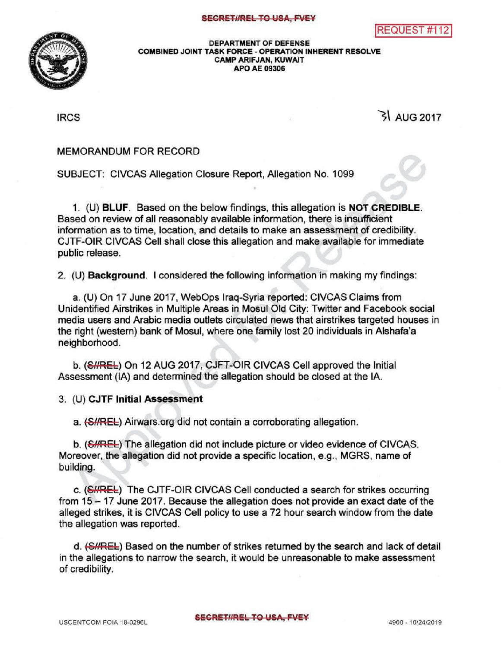

## DEPARTMENTOF DEFENSE COMBINED JOINT TASK FORCE - OPERATION INHERENT RESOLVE CAMP ARIFJAN, KUWAIT APO AE 09306

 $\mathsf{IRCS}$   $\mathsf{IRCS}$ 

## MEMORANDUM FOR RECORD

SUBJECT: CIVCAS Allegation Closure Report, Allegation No. 1099

1. (U) BLUF. Based on the below findings, this allegation is NOT CREDIBLE. Based on review of all reasonably available information, there is insufficient information as to time, location, and details to make an assessment of credibility. CJTF-OIR CIVCAS Cell shall close this allegation and make available for immediate public release. **S**<br>NOT CREDIBLE.<br>nsufficient

2. (U) **Background.** I considered the following information in making my findings:

a. (U) On 17 June 2017, WebOps Iraq-Syria reported: CIVCAS Claims from Unidentified Airstrikes in Multiple Areas in Mosul Old City: Twitter and Facebook social media users and Arabic media outlets circulated news that airstrikes targeted houses in the right (western) bank of Mosul, where one family lost 20 individuals in Alshafa'a neighborhood.

b. (SHREL) On 12 AUG 2017, CJFT-OIR CIVCAS Cell approved the Initial Assessment (IA) and determined the allegation should be closed at the IA.

3. (U) CJTF Initial Assessment

a. (S//REL) Airwars.org did not contain a corroborating allegation.

b. (SHREL) The allegation did not include picture or video evidence of CIVCAS. Moreover, the allegation did not provide a specific location, e.g., MGRS, name of building.

c. (SHREL) The CJTF-OIR CIVCAS Cell conducted a search for strikes occurring from 15 - 17 June 2017. Because the allegation does not provide an exact date of the alleged strikes, it is CIVCAS Cell policy to use a 72 hour search window from the date the allegation was reported.

d. (SHREL) Based on the number of strikes returned by the search and lack of detail in the allegations to narrow the search, it would be unreasonable to make assessment of credibility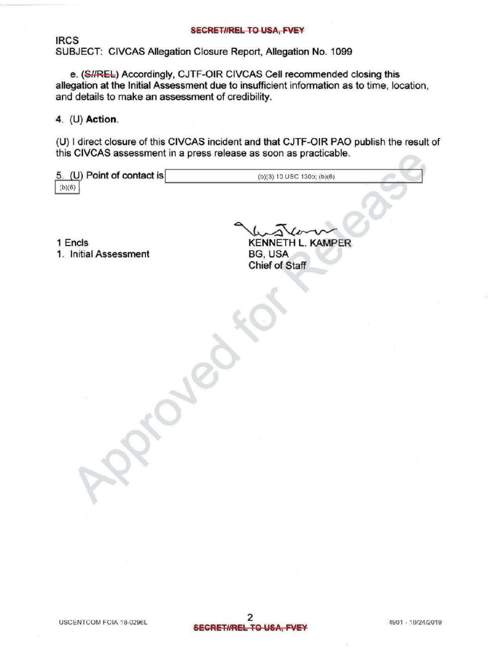IRCS SUBJECT: CIVCAS Allegation Closure Report, Allegation No. 1099

e. (S//REL) Accordingly, CJTF-OIR CIVCAS Cell recommended closing this allegation at the Initial Assessment due to insufficient information as to time, location, and details to make an assessment of credibility.

4. (U) Action

(U) direct closure of this CIVCAS incident and that CJTF-OIR PAO publish the result of this CIVCAS assessment in a press release as soon as practicable.

| 5. (U) Point of contact is | (b)(3) 10 USC 130b; (b)(6) |  |
|----------------------------|----------------------------|--|
| (b)(6)                     |                            |  |
|                            |                            |  |
|                            |                            |  |

1 Encls

wstan RENNETH L. KAMPER<br>BG, USA<br>Chief of Staff 1. Initial Assessment BG, USA<br>Chief of Staff

 $\mathcal{R}$